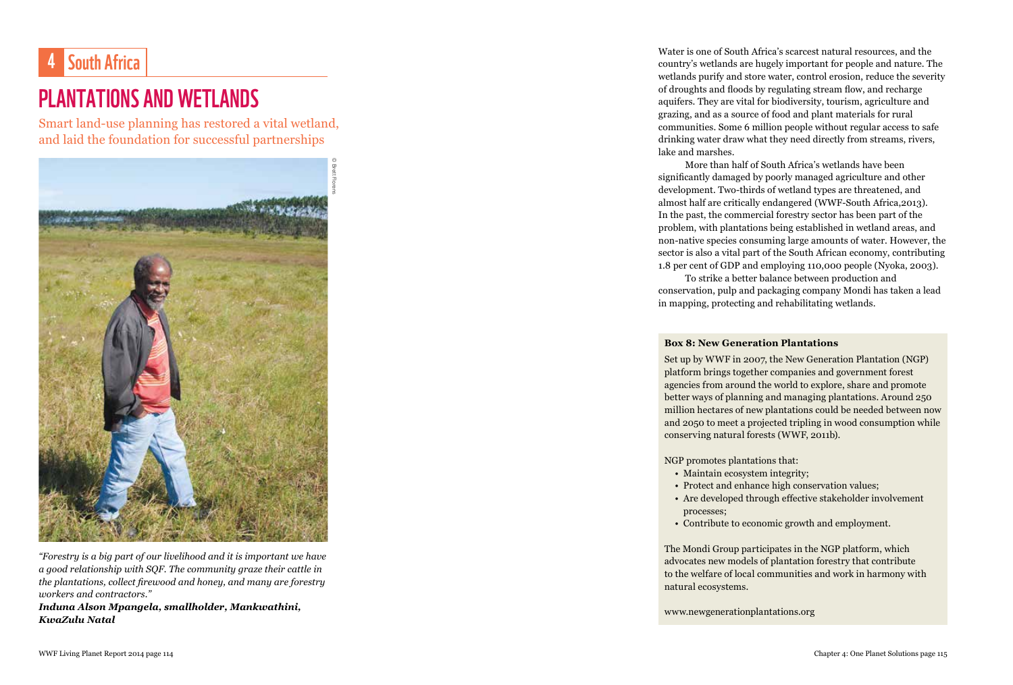## 4 South Africa

## PLANTATIONS AND WETLANDS

Smart land-use planning has restored a vital wetland, and laid the foundation for successful partnerships



*"Forestry is a big part of our livelihood and it is important we have a good relationship with SQF. The community graze their cattle in the plantations, collect firewood and honey, and many are forestry workers and contractors."*

*Induna Alson Mpangela, smallholder, Mankwathini, KwaZulu Natal*

Water is one of South Africa's scarcest natural resources, and the country's wetlands are hugely important for people and nature. The wetlands purify and store water, control erosion, reduce the severity of droughts and floods by regulating stream flow, and recharge aquifers. They are vital for biodiversity, tourism, agriculture and grazing, and as a source of food and plant materials for rural communities. Some 6 million people without regular access to safe drinking water draw what they need directly from streams, rivers, lake and marshes.

More than half of South Africa's wetlands have been significantly damaged by poorly managed agriculture and other development. Two-thirds of wetland types are threatened, and almost half are critically endangered (WWF-South Africa,2013). In the past, the commercial forestry sector has been part of the problem, with plantations being established in wetland areas, and non-native species consuming large amounts of water. However, the sector is also a vital part of the South African economy, contributing 1.8 per cent of GDP and employing 110,000 people (Nyoka, 2003).

To strike a better balance between production and conservation, pulp and packaging company Mondi has taken a lead in mapping, protecting and rehabilitating wetlands.

## **Box 8: New Generation Plantations**

Set up by WWF in 2007, the New Generation Plantation (NGP) platform brings together companies and government forest agencies from around the world to explore, share and promote better ways of planning and managing plantations. Around 250 million hectares of new plantations could be needed between now and 2050 to meet a projected tripling in wood consumption while conserving natural forests (WWF, 2011b).

NGP promotes plantations that:

- Maintain ecosystem integrity;
- Protect and enhance high conservation values;
- Are developed through effective stakeholder involvement processes;
- Contribute to economic growth and employment.

The Mondi Group participates in the NGP platform, which advocates new models of plantation forestry that contribute to the welfare of local communities and work in harmony with natural ecosystems.

www.newgenerationplantations.org